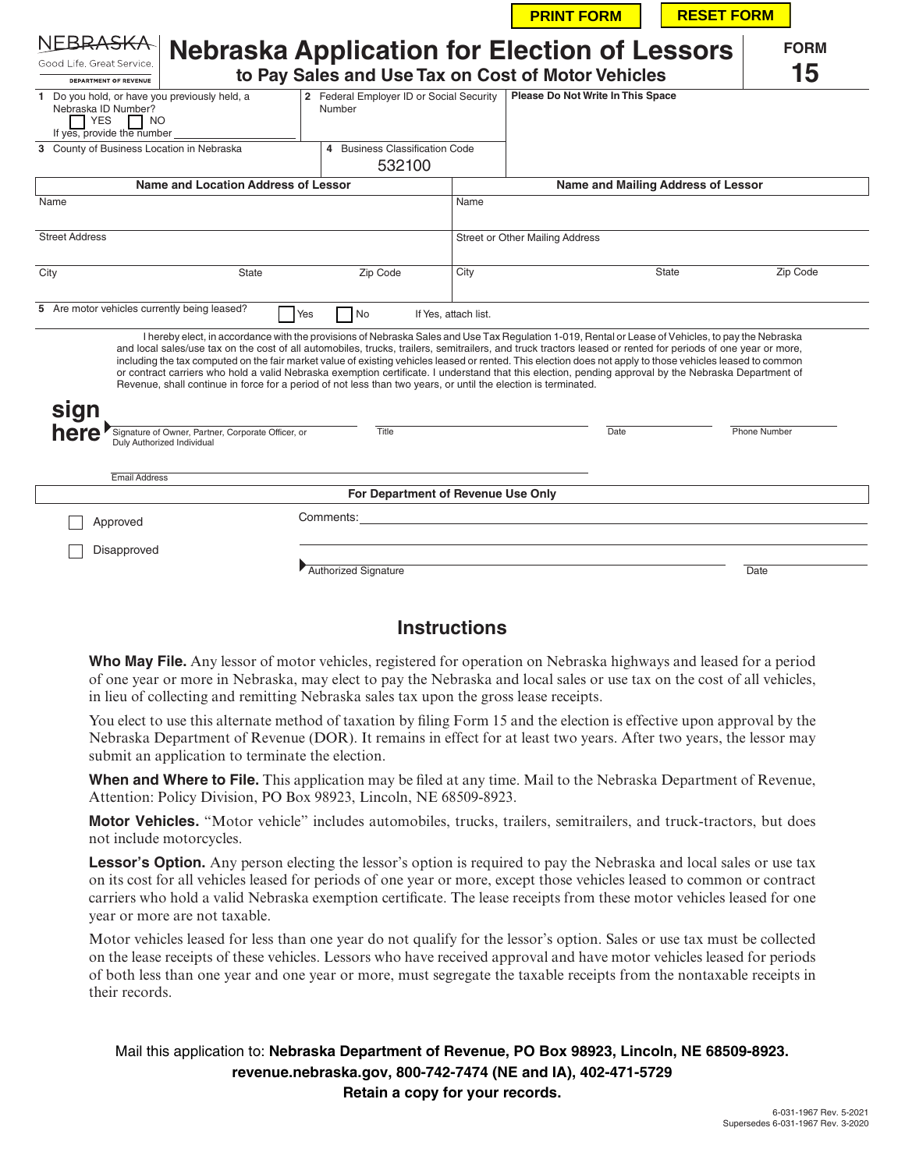|                                                                                                                                                                                                                                                                                                                                                                                                                                                                                                                                                                                                                                                                                                                                                                     |                                                                                                           |                                        | <b>PRINT FORM</b>                 | <b>RESET FORM</b> |                     |
|---------------------------------------------------------------------------------------------------------------------------------------------------------------------------------------------------------------------------------------------------------------------------------------------------------------------------------------------------------------------------------------------------------------------------------------------------------------------------------------------------------------------------------------------------------------------------------------------------------------------------------------------------------------------------------------------------------------------------------------------------------------------|-----------------------------------------------------------------------------------------------------------|----------------------------------------|-----------------------------------|-------------------|---------------------|
| NFRRA<br>Good Life, Great Service,<br><b>DEPARTMENT OF REVENUE</b>                                                                                                                                                                                                                                                                                                                                                                                                                                                                                                                                                                                                                                                                                                  | <b>Nebraska Application for Election of Lessors</b><br>to Pay Sales and Use Tax on Cost of Motor Vehicles |                                        |                                   |                   | <b>FORM</b><br>15   |
| 1 Do you hold, or have you previously held, a<br>Nebraska ID Number?<br>YES<br>NO <sub>1</sub><br>If yes, provide the number                                                                                                                                                                                                                                                                                                                                                                                                                                                                                                                                                                                                                                        | 2 Federal Employer ID or Social Security<br>Number                                                        |                                        | Please Do Not Write In This Space |                   |                     |
| 3 County of Business Location in Nebraska                                                                                                                                                                                                                                                                                                                                                                                                                                                                                                                                                                                                                                                                                                                           | 4 Business Classification Code<br>532100                                                                  |                                        |                                   |                   |                     |
| Name and Location Address of Lessor                                                                                                                                                                                                                                                                                                                                                                                                                                                                                                                                                                                                                                                                                                                                 |                                                                                                           | Name and Mailing Address of Lessor     |                                   |                   |                     |
| Name                                                                                                                                                                                                                                                                                                                                                                                                                                                                                                                                                                                                                                                                                                                                                                |                                                                                                           | Name                                   |                                   |                   |                     |
| <b>Street Address</b>                                                                                                                                                                                                                                                                                                                                                                                                                                                                                                                                                                                                                                                                                                                                               |                                                                                                           | <b>Street or Other Mailing Address</b> |                                   |                   |                     |
| City<br><b>State</b><br>Zip Code                                                                                                                                                                                                                                                                                                                                                                                                                                                                                                                                                                                                                                                                                                                                    |                                                                                                           | City                                   |                                   | <b>State</b>      | Zip Code            |
| 5 Are motor vehicles currently being leased?                                                                                                                                                                                                                                                                                                                                                                                                                                                                                                                                                                                                                                                                                                                        | <b>No</b><br>Yes                                                                                          | If Yes, attach list.                   |                                   |                   |                     |
| I hereby elect, in accordance with the provisions of Nebraska Sales and Use Tax Regulation 1-019, Rental or Lease of Vehicles, to pay the Nebraska<br>and local sales/use tax on the cost of all automobiles, trucks, trailers, semitrailers, and truck tractors leased or rented for periods of one year or more,<br>including the tax computed on the fair market value of existing vehicles leased or rented. This election does not apply to those vehicles leased to common<br>or contract carriers who hold a valid Nebraska exemption certificate. I understand that this election, pending approval by the Nebraska Department of<br>Revenue, shall continue in force for a period of not less than two years, or until the election is terminated.<br>sign |                                                                                                           |                                        |                                   |                   |                     |
| Signature of Owner, Partner, Corporate Officer, or<br>here<br>Title<br>Duly Authorized Individual                                                                                                                                                                                                                                                                                                                                                                                                                                                                                                                                                                                                                                                                   |                                                                                                           |                                        | Date                              |                   | <b>Phone Number</b> |
| <b>Email Address</b>                                                                                                                                                                                                                                                                                                                                                                                                                                                                                                                                                                                                                                                                                                                                                |                                                                                                           |                                        |                                   |                   |                     |
| For Department of Revenue Use Only                                                                                                                                                                                                                                                                                                                                                                                                                                                                                                                                                                                                                                                                                                                                  |                                                                                                           |                                        |                                   |                   |                     |
| Approved                                                                                                                                                                                                                                                                                                                                                                                                                                                                                                                                                                                                                                                                                                                                                            | Comments:                                                                                                 |                                        |                                   |                   |                     |
| Disapproved                                                                                                                                                                                                                                                                                                                                                                                                                                                                                                                                                                                                                                                                                                                                                         |                                                                                                           |                                        |                                   |                   |                     |
|                                                                                                                                                                                                                                                                                                                                                                                                                                                                                                                                                                                                                                                                                                                                                                     | <b>Authorized Signature</b>                                                                               |                                        |                                   |                   | Date                |

## **Instructions**

**Who May File.** Any lessor of motor vehicles, registered for operation on Nebraska highways and leased for a period of one year or more in Nebraska, may elect to pay the Nebraska and local sales or use tax on the cost of all vehicles, in lieu of collecting and remitting Nebraska sales tax upon the gross lease receipts.

You elect to use this alternate method of taxation by filing Form 15 and the election is effective upon approval by the Nebraska Department of Revenue (DOR). It remains in effect for at least two years. After two years, the lessor may submit an application to terminate the election.

**When and Where to File.** This application may be filed at any time. Mail to the Nebraska Department of Revenue, Attention: Policy Division, PO Box 98923, Lincoln, NE 68509-8923.

**Motor Vehicles.** "Motor vehicle" includes automobiles, trucks, trailers, semitrailers, and truck-tractors, but does not include motorcycles.

Lessor's Option. Any person electing the lessor's option is required to pay the Nebraska and local sales or use tax on its cost for all vehicles leased for periods of one year or more, except those vehicles leased to common or contract carriers who hold a valid Nebraska exemption certificate. The lease receipts from these motor vehicles leased for one year or more are not taxable.

Motor vehicles leased for less than one year do not qualify for the lessor's option. Sales or use tax must be collected on the lease receipts of these vehicles. Lessors who have received approval and have motor vehicles leased for periods of both less than one year and one year or more, must segregate the taxable receipts from the nontaxable receipts in their records.

## Mail this application to: **Nebraska Department of Revenue, PO Box 98923, Lincoln, NE 68509-8923. revenue.nebraska.gov, 800-742-7474 (NE and IA), 402-471-5729 Retain a copy for your records.**